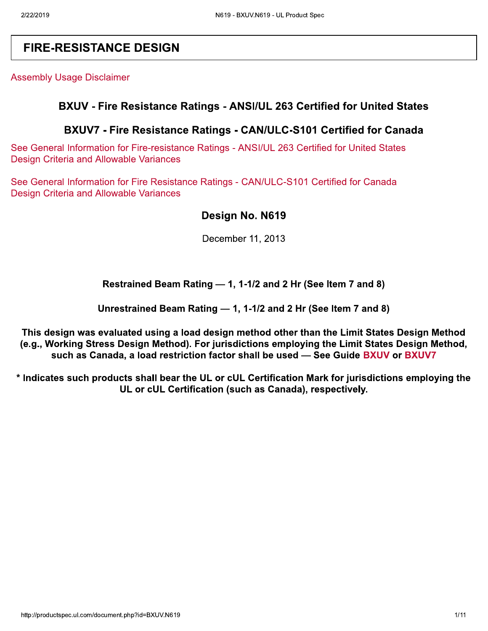# **FIRE-RESISTANCE DESIGN**

**Assembly Usage Disclaimer** 

### BXUV - Fire Resistance Ratings - ANSI/UL 263 Certified for United States

## BXUV7 - Fire Resistance Ratings - CAN/ULC-S101 Certified for Canada

See General Information for Fire-resistance Ratings - ANSI/UL 263 Certified for United States **Design Criteria and Allowable Variances** 

See General Information for Fire Resistance Ratings - CAN/ULC-S101 Certified for Canada **Design Criteria and Allowable Variances** 

## Design No. N619

December 11, 2013

#### Restrained Beam Rating - 1, 1-1/2 and 2 Hr (See Item 7 and 8)

Unrestrained Beam Rating - 1, 1-1/2 and 2 Hr (See Item 7 and 8)

This design was evaluated using a load design method other than the Limit States Design Method (e.g., Working Stress Design Method). For jurisdictions employing the Limit States Design Method, such as Canada, a load restriction factor shall be used - See Guide BXUV or BXUV7

\* Indicates such products shall bear the UL or cUL Certification Mark for jurisdictions employing the UL or cUL Certification (such as Canada), respectively.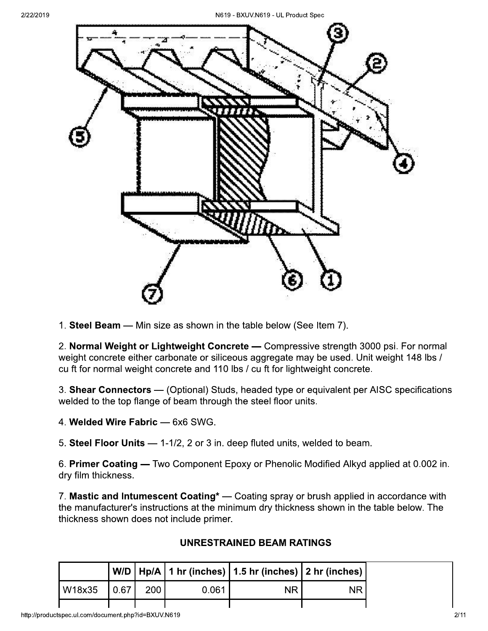

1. Steel Beam - Min size as shown in the table below (See Item 7).

2. Normal Weight or Lightweight Concrete - Compressive strength 3000 psi. For normal weight concrete either carbonate or siliceous aggregate may be used. Unit weight 148 lbs / cu ft for normal weight concrete and 110 lbs / cu ft for lightweight concrete.

3. Shear Connectors - (Optional) Studs, headed type or equivalent per AISC specifications welded to the top flange of beam through the steel floor units.

4. Welded Wire Fabric - 6x6 SWG.

5. Steel Floor Units - 1-1/2, 2 or 3 in. deep fluted units, welded to beam.

6. Primer Coating — Two Component Epoxy or Phenolic Modified Alkyd applied at 0.002 in. dry film thickness.

7. Mastic and Intumescent Coating\* - Coating spray or brush applied in accordance with the manufacturer's instructions at the minimum dry thickness shown in the table below. The thickness shown does not include primer.

|  | UNRESTRAINED BEAM RATINGS |
|--|---------------------------|
|  |                           |

| $ W18x35 $ 0.67 | 200 <sub>1</sub> | 0.061 | <b>NR</b> | <b>NR</b> |
|-----------------|------------------|-------|-----------|-----------|
|                 |                  |       |           |           |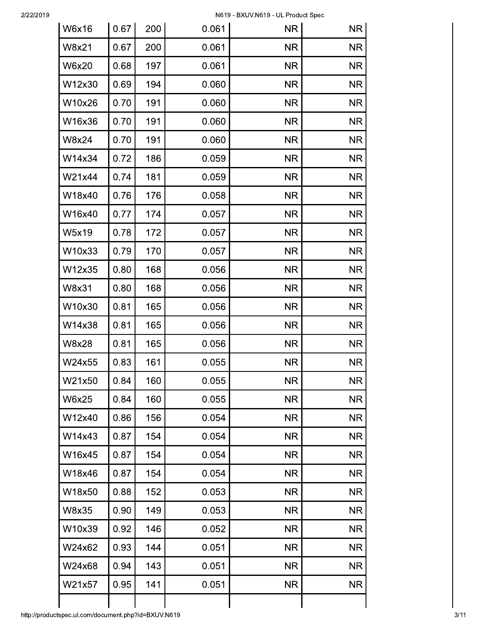| <b>W6x16</b> | 0.67 | 200 | 0.061 | <b>NR</b> | <b>NR</b> |
|--------------|------|-----|-------|-----------|-----------|
| W8x21        | 0.67 | 200 | 0.061 | <b>NR</b> | <b>NR</b> |
| W6x20        | 0.68 | 197 | 0.061 | <b>NR</b> | <b>NR</b> |
| W12x30       | 0.69 | 194 | 0.060 | <b>NR</b> | <b>NR</b> |
| W10x26       | 0.70 | 191 | 0.060 | <b>NR</b> | <b>NR</b> |
| W16x36       | 0.70 | 191 | 0.060 | <b>NR</b> | <b>NR</b> |
| W8x24        | 0.70 | 191 | 0.060 | <b>NR</b> | <b>NR</b> |
| W14x34       | 0.72 | 186 | 0.059 | <b>NR</b> | <b>NR</b> |
| W21x44       |      |     |       |           |           |
|              | 0.74 | 181 | 0.059 | <b>NR</b> | <b>NR</b> |
| W18x40       | 0.76 | 176 | 0.058 | <b>NR</b> | <b>NR</b> |
| W16x40       | 0.77 | 174 | 0.057 | <b>NR</b> | <b>NR</b> |
| W5x19        | 0.78 | 172 | 0.057 | <b>NR</b> | <b>NR</b> |
| W10x33       | 0.79 | 170 | 0.057 | <b>NR</b> | <b>NR</b> |
| W12x35       | 0.80 | 168 | 0.056 | <b>NR</b> | <b>NR</b> |
| W8x31        | 0.80 | 168 | 0.056 | <b>NR</b> | <b>NR</b> |
| W10x30       | 0.81 | 165 | 0.056 | <b>NR</b> | <b>NR</b> |
| W14x38       | 0.81 | 165 | 0.056 | <b>NR</b> | <b>NR</b> |
| W8x28        | 0.81 | 165 | 0.056 | <b>NR</b> | <b>NR</b> |
| W24x55       | 0.83 | 161 | 0.055 | <b>NR</b> | <b>NR</b> |
| W21x50       | 0.84 | 160 | 0.055 | <b>NR</b> | <b>NR</b> |
| <b>W6x25</b> | 0.84 | 160 | 0.055 | <b>NR</b> | <b>NR</b> |
| W12x40       | 0.86 | 156 | 0.054 | <b>NR</b> | <b>NR</b> |
| W14x43       | 0.87 | 154 | 0.054 | <b>NR</b> | <b>NR</b> |
| W16x45       | 0.87 | 154 | 0.054 | <b>NR</b> | <b>NR</b> |
| W18x46       | 0.87 | 154 | 0.054 | <b>NR</b> | <b>NR</b> |
| W18x50       | 0.88 | 152 | 0.053 | <b>NR</b> | <b>NR</b> |
| W8x35        | 0.90 | 149 | 0.053 | <b>NR</b> | <b>NR</b> |
| W10x39       | 0.92 | 146 | 0.052 | <b>NR</b> | <b>NR</b> |
| W24x62       | 0.93 | 144 | 0.051 | <b>NR</b> | <b>NR</b> |
| W24x68       | 0.94 | 143 | 0.051 | <b>NR</b> | <b>NR</b> |
| W21x57       | 0.95 | 141 | 0.051 | <b>NR</b> | <b>NR</b> |
|              |      |     |       |           |           |
|              |      |     |       |           |           |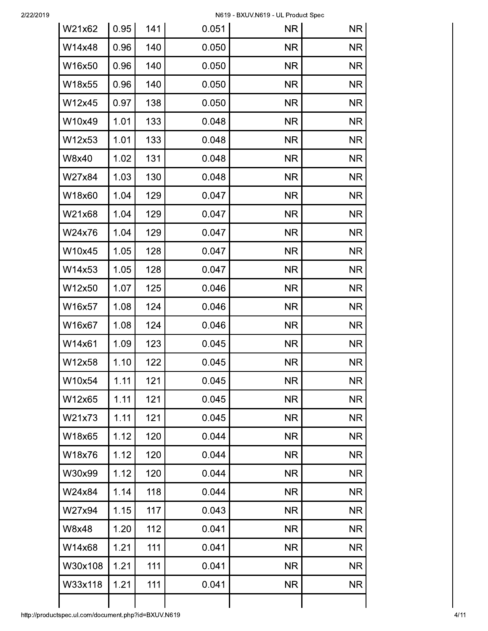| W21x62  | 0.95 | 141 | 0.051 | <b>NR</b> | <b>NR</b> |
|---------|------|-----|-------|-----------|-----------|
| W14x48  | 0.96 | 140 | 0.050 | <b>NR</b> | <b>NR</b> |
| W16x50  | 0.96 | 140 | 0.050 | <b>NR</b> | <b>NR</b> |
| W18x55  | 0.96 | 140 | 0.050 | <b>NR</b> | <b>NR</b> |
| W12x45  | 0.97 | 138 | 0.050 | <b>NR</b> | <b>NR</b> |
| W10x49  | 1.01 | 133 | 0.048 | <b>NR</b> | <b>NR</b> |
| W12x53  | 1.01 | 133 | 0.048 | <b>NR</b> | <b>NR</b> |
| W8x40   | 1.02 | 131 | 0.048 | <b>NR</b> | <b>NR</b> |
| W27x84  | 1.03 | 130 | 0.048 | <b>NR</b> | <b>NR</b> |
| W18x60  | 1.04 | 129 | 0.047 | <b>NR</b> | <b>NR</b> |
| W21x68  | 1.04 | 129 | 0.047 | <b>NR</b> | <b>NR</b> |
| W24x76  | 1.04 | 129 | 0.047 | <b>NR</b> | <b>NR</b> |
| W10x45  | 1.05 | 128 | 0.047 | <b>NR</b> | <b>NR</b> |
| W14x53  | 1.05 | 128 | 0.047 | <b>NR</b> | <b>NR</b> |
| W12x50  | 1.07 | 125 | 0.046 | <b>NR</b> | <b>NR</b> |
| W16x57  | 1.08 | 124 | 0.046 | <b>NR</b> | <b>NR</b> |
| W16x67  | 1.08 | 124 | 0.046 | <b>NR</b> | <b>NR</b> |
| W14x61  | 1.09 | 123 | 0.045 | <b>NR</b> | <b>NR</b> |
| W12x58  | 1.10 | 122 | 0.045 | <b>NR</b> | <b>NR</b> |
| W10x54  | 1.11 | 121 | 0.045 | <b>NR</b> | <b>NR</b> |
| W12x65  | 1.11 | 121 | 0.045 | <b>NR</b> | <b>NR</b> |
| W21x73  | 1.11 | 121 | 0.045 | <b>NR</b> | <b>NR</b> |
| W18x65  | 1.12 | 120 | 0.044 | <b>NR</b> | <b>NR</b> |
| W18x76  | 1.12 | 120 | 0.044 | <b>NR</b> | <b>NR</b> |
| W30x99  | 1.12 | 120 | 0.044 | <b>NR</b> | <b>NR</b> |
| W24x84  | 1.14 | 118 | 0.044 | <b>NR</b> | <b>NR</b> |
| W27x94  | 1.15 | 117 | 0.043 | <b>NR</b> | <b>NR</b> |
| W8x48   | 1.20 | 112 | 0.041 | <b>NR</b> | <b>NR</b> |
| W14x68  | 1.21 | 111 | 0.041 | <b>NR</b> | <b>NR</b> |
| W30x108 | 1.21 | 111 | 0.041 | <b>NR</b> | <b>NR</b> |
| W33x118 | 1.21 | 111 | 0.041 | <b>NR</b> | <b>NR</b> |
|         |      |     |       |           |           |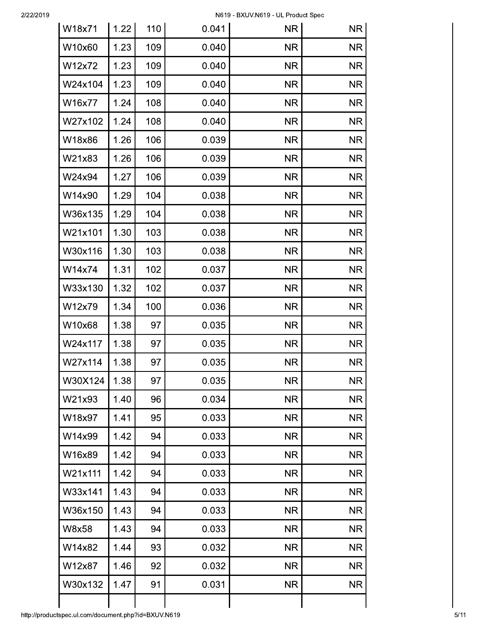| W18x71  | 1.22 | 110 | 0.041 | <b>NR</b> | <b>NR</b> |
|---------|------|-----|-------|-----------|-----------|
| W10x60  | 1.23 | 109 | 0.040 | <b>NR</b> | <b>NR</b> |
| W12x72  | 1.23 | 109 | 0.040 | <b>NR</b> | <b>NR</b> |
| W24x104 | 1.23 | 109 | 0.040 | <b>NR</b> | <b>NR</b> |
| W16x77  | 1.24 | 108 | 0.040 | <b>NR</b> | <b>NR</b> |
| W27x102 | 1.24 | 108 | 0.040 | <b>NR</b> | <b>NR</b> |
| W18x86  | 1.26 | 106 | 0.039 | <b>NR</b> | <b>NR</b> |
| W21x83  | 1.26 | 106 | 0.039 | <b>NR</b> | <b>NR</b> |
| W24x94  | 1.27 | 106 | 0.039 | <b>NR</b> | <b>NR</b> |
| W14x90  | 1.29 | 104 | 0.038 | <b>NR</b> | <b>NR</b> |
| W36x135 | 1.29 | 104 | 0.038 | <b>NR</b> | <b>NR</b> |
| W21x101 | 1.30 | 103 | 0.038 | <b>NR</b> | <b>NR</b> |
| W30x116 | 1.30 | 103 | 0.038 | <b>NR</b> | <b>NR</b> |
| W14x74  | 1.31 | 102 | 0.037 | <b>NR</b> | <b>NR</b> |
| W33x130 | 1.32 | 102 | 0.037 | <b>NR</b> | <b>NR</b> |
| W12x79  | 1.34 | 100 | 0.036 | <b>NR</b> | <b>NR</b> |
| W10x68  | 1.38 | 97  | 0.035 | <b>NR</b> | <b>NR</b> |
| W24x117 | 1.38 | 97  | 0.035 | <b>NR</b> | <b>NR</b> |
| W27x114 | 1.38 | 97  | 0.035 | <b>NR</b> | <b>NR</b> |
| W30X124 | 1.38 | 97  | 0.035 | <b>NR</b> | <b>NR</b> |
| W21x93  | 1.40 | 96  | 0.034 | <b>NR</b> | <b>NR</b> |
| W18x97  | 1.41 | 95  | 0.033 | <b>NR</b> | <b>NR</b> |
| W14x99  | 1.42 | 94  | 0.033 | <b>NR</b> | <b>NR</b> |
| W16x89  | 1.42 | 94  | 0.033 | <b>NR</b> | <b>NR</b> |
| W21x111 | 1.42 | 94  | 0.033 | <b>NR</b> | <b>NR</b> |
| W33x141 | 1.43 | 94  | 0.033 | <b>NR</b> | <b>NR</b> |
| W36x150 | 1.43 | 94  | 0.033 | <b>NR</b> | <b>NR</b> |
| W8x58   | 1.43 | 94  | 0.033 | <b>NR</b> | <b>NR</b> |
| W14x82  | 1.44 | 93  | 0.032 | <b>NR</b> | <b>NR</b> |
| W12x87  | 1.46 | 92  | 0.032 | <b>NR</b> | <b>NR</b> |
| W30x132 | 1.47 | 91  | 0.031 | <b>NR</b> | <b>NR</b> |
|         |      |     |       |           |           |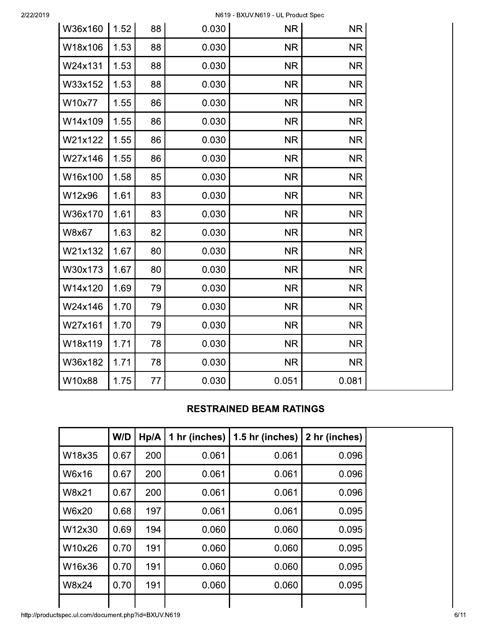| W36x160 | 1.52 | 88 | 0.030 | <b>NR</b> | <b>NR</b> |
|---------|------|----|-------|-----------|-----------|
| W18x106 | 1.53 | 88 | 0.030 | <b>NR</b> | <b>NR</b> |
| W24x131 | 1.53 | 88 | 0.030 | <b>NR</b> | <b>NR</b> |
| W33x152 | 1.53 | 88 | 0.030 | <b>NR</b> | <b>NR</b> |
| W10x77  | 1.55 | 86 | 0.030 | <b>NR</b> | <b>NR</b> |
| W14x109 | 1.55 | 86 | 0.030 | <b>NR</b> | <b>NR</b> |
| W21x122 | 1.55 | 86 | 0.030 | <b>NR</b> | <b>NR</b> |
| W27x146 | 1.55 | 86 | 0.030 | <b>NR</b> | <b>NR</b> |
| W16x100 | 1.58 | 85 | 0.030 | <b>NR</b> | <b>NR</b> |
| W12x96  | 1.61 | 83 | 0.030 | <b>NR</b> | <b>NR</b> |
| W36x170 | 1.61 | 83 | 0.030 | <b>NR</b> | <b>NR</b> |
| W8x67   | 1.63 | 82 | 0.030 | <b>NR</b> | <b>NR</b> |
| W21x132 | 1.67 | 80 | 0.030 | <b>NR</b> | <b>NR</b> |
| W30x173 | 1.67 | 80 | 0.030 | <b>NR</b> | <b>NR</b> |
| W14x120 | 1.69 | 79 | 0.030 | <b>NR</b> | <b>NR</b> |
| W24x146 | 1.70 | 79 | 0.030 | <b>NR</b> | <b>NR</b> |
| W27x161 | 1.70 | 79 | 0.030 | <b>NR</b> | <b>NR</b> |
| W18x119 | 1.71 | 78 | 0.030 | <b>NR</b> | <b>NR</b> |
| W36x182 | 1.71 | 78 | 0.030 | <b>NR</b> | <b>NR</b> |
| W10x88  | 1.75 | 77 | 0.030 | 0.051     | 0.081     |

## **RESTRAINED BEAM RATINGS**

|              | W/D  | Hp/A | 1 hr (inches) | 1.5 hr (inches) | 2 hr (inches) |
|--------------|------|------|---------------|-----------------|---------------|
| W18x35       | 0.67 | 200  | 0.061         | 0.061           | 0.096         |
| <b>W6x16</b> | 0.67 | 200  | 0.061         | 0.061           | 0.096         |
| <b>W8x21</b> | 0.67 | 200  | 0.061         | 0.061           | 0.096         |
| <b>W6x20</b> | 0.68 | 197  | 0.061         | 0.061           | 0.095         |
| W12x30       | 0.69 | 194  | 0.060         | 0.060           | 0.095         |
| W10x26       | 0.70 | 191  | 0.060         | 0.060           | 0.095         |
| W16x36       | 0.70 | 191  | 0.060         | 0.060           | 0.095         |
| <b>W8x24</b> | 0.70 | 191  | 0.060         | 0.060           | 0.095         |
|              |      |      |               |                 |               |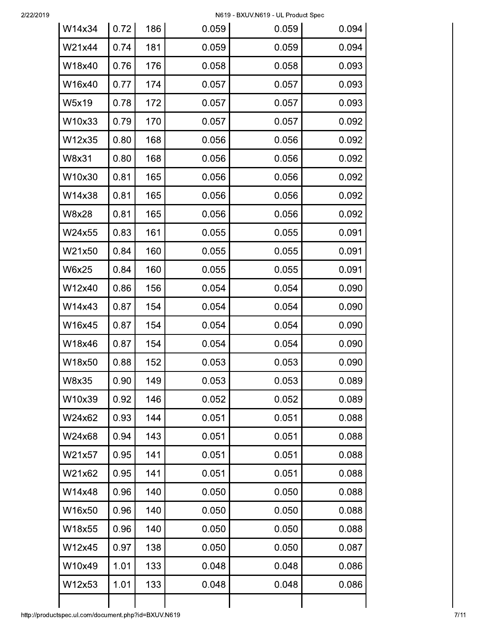| W14x34 | 0.72 | 186 | 0.059 | 0.059 | 0.094 |
|--------|------|-----|-------|-------|-------|
| W21x44 | 0.74 | 181 | 0.059 | 0.059 | 0.094 |
| W18x40 | 0.76 | 176 | 0.058 | 0.058 | 0.093 |
| W16x40 | 0.77 | 174 | 0.057 | 0.057 | 0.093 |
| W5x19  | 0.78 | 172 | 0.057 | 0.057 | 0.093 |
| W10x33 | 0.79 | 170 | 0.057 | 0.057 | 0.092 |
| W12x35 | 0.80 | 168 | 0.056 | 0.056 | 0.092 |
| W8x31  | 0.80 | 168 | 0.056 | 0.056 | 0.092 |
| W10x30 | 0.81 | 165 | 0.056 | 0.056 | 0.092 |
| W14x38 | 0.81 | 165 | 0.056 | 0.056 | 0.092 |
| W8x28  | 0.81 | 165 | 0.056 | 0.056 | 0.092 |
| W24x55 | 0.83 | 161 | 0.055 | 0.055 | 0.091 |
| W21x50 | 0.84 | 160 | 0.055 | 0.055 | 0.091 |
| W6x25  | 0.84 | 160 | 0.055 | 0.055 | 0.091 |
| W12x40 | 0.86 | 156 | 0.054 | 0.054 | 0.090 |
| W14x43 | 0.87 | 154 | 0.054 | 0.054 | 0.090 |
| W16x45 | 0.87 | 154 | 0.054 | 0.054 | 0.090 |
| W18x46 | 0.87 | 154 | 0.054 | 0.054 | 0.090 |
| W18x50 | 0.88 | 152 | 0.053 | 0.053 | 0.090 |
| W8x35  | 0.90 | 149 | 0.053 | 0.053 | 0.089 |
| W10x39 | 0.92 | 146 | 0.052 | 0.052 | 0.089 |
| W24x62 | 0.93 | 144 | 0.051 | 0.051 | 0.088 |
| W24x68 | 0.94 | 143 | 0.051 | 0.051 | 0.088 |
| W21x57 | 0.95 | 141 | 0.051 | 0.051 | 0.088 |
| W21x62 | 0.95 | 141 | 0.051 | 0.051 | 0.088 |
| W14x48 | 0.96 | 140 | 0.050 | 0.050 | 0.088 |
| W16x50 | 0.96 | 140 | 0.050 | 0.050 | 0.088 |
| W18x55 | 0.96 | 140 | 0.050 | 0.050 | 0.088 |
| W12x45 | 0.97 | 138 | 0.050 | 0.050 | 0.087 |
| W10x49 | 1.01 | 133 | 0.048 | 0.048 | 0.086 |
| W12x53 | 1.01 | 133 | 0.048 | 0.048 | 0.086 |
|        |      |     |       |       |       |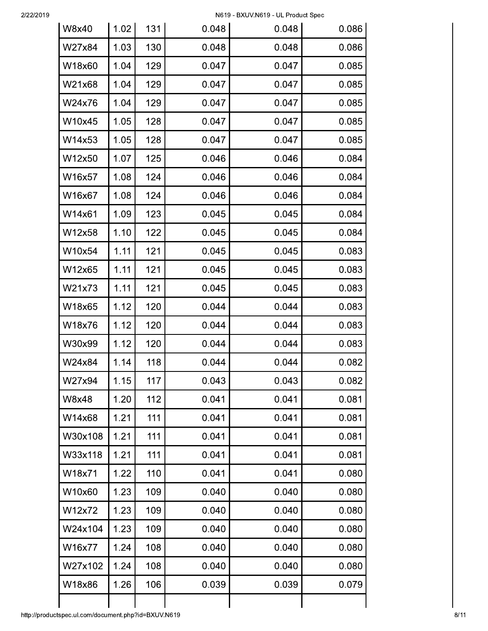| W8x40   | 1.02 | 131 | 0.048 | 0.048 | 0.086 |
|---------|------|-----|-------|-------|-------|
| W27x84  | 1.03 | 130 | 0.048 | 0.048 | 0.086 |
| W18x60  | 1.04 | 129 | 0.047 | 0.047 | 0.085 |
| W21x68  | 1.04 | 129 | 0.047 | 0.047 | 0.085 |
| W24x76  | 1.04 | 129 | 0.047 | 0.047 | 0.085 |
| W10x45  | 1.05 | 128 | 0.047 | 0.047 | 0.085 |
| W14x53  | 1.05 | 128 | 0.047 | 0.047 | 0.085 |
| W12x50  | 1.07 | 125 | 0.046 | 0.046 | 0.084 |
| W16x57  | 1.08 | 124 | 0.046 | 0.046 | 0.084 |
| W16x67  | 1.08 | 124 | 0.046 | 0.046 | 0.084 |
| W14x61  | 1.09 | 123 | 0.045 | 0.045 | 0.084 |
| W12x58  | 1.10 | 122 | 0.045 | 0.045 | 0.084 |
| W10x54  | 1.11 | 121 | 0.045 | 0.045 | 0.083 |
| W12x65  | 1.11 | 121 | 0.045 | 0.045 | 0.083 |
| W21x73  | 1.11 | 121 | 0.045 | 0.045 | 0.083 |
| W18x65  | 1.12 | 120 | 0.044 | 0.044 | 0.083 |
| W18x76  | 1.12 | 120 | 0.044 | 0.044 | 0.083 |
| W30x99  | 1.12 | 120 | 0.044 | 0.044 | 0.083 |
| W24x84  | 1.14 | 118 | 0.044 | 0.044 | 0.082 |
| W27x94  | 1.15 | 117 | 0.043 | 0.043 | 0.082 |
| W8x48   | 1.20 | 112 | 0.041 | 0.041 | 0.081 |
| W14x68  | 1.21 | 111 | 0.041 | 0.041 | 0.081 |
| W30x108 | 1.21 | 111 | 0.041 | 0.041 | 0.081 |
| W33x118 | 1.21 | 111 | 0.041 | 0.041 | 0.081 |
| W18x71  | 1.22 | 110 | 0.041 | 0.041 | 0.080 |
| W10x60  | 1.23 | 109 | 0.040 | 0.040 | 0.080 |
| W12x72  | 1.23 | 109 | 0.040 | 0.040 | 0.080 |
| W24x104 | 1.23 | 109 | 0.040 | 0.040 | 0.080 |
| W16x77  | 1.24 | 108 | 0.040 | 0.040 | 0.080 |
| W27x102 | 1.24 | 108 | 0.040 | 0.040 | 0.080 |
| W18x86  | 1.26 | 106 | 0.039 | 0.039 | 0.079 |
|         |      |     |       |       |       |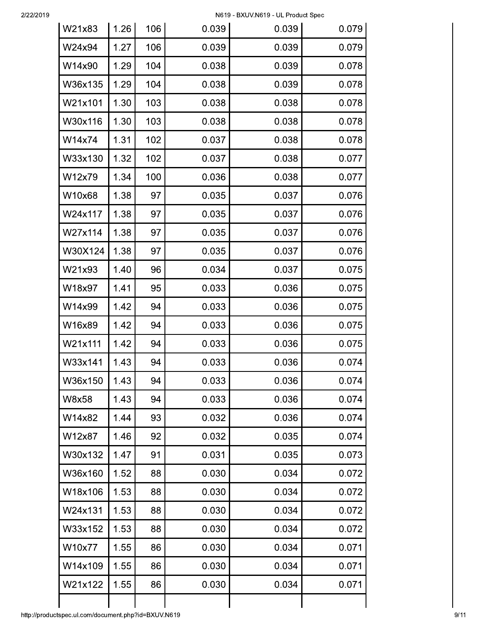| W21x83  | 1.26 | 106 | 0.039 | 0.039 | 0.079 |
|---------|------|-----|-------|-------|-------|
| W24x94  | 1.27 | 106 | 0.039 | 0.039 | 0.079 |
| W14x90  | 1.29 | 104 | 0.038 | 0.039 | 0.078 |
| W36x135 | 1.29 | 104 | 0.038 | 0.039 | 0.078 |
| W21x101 | 1.30 | 103 | 0.038 | 0.038 | 0.078 |
| W30x116 | 1.30 | 103 | 0.038 | 0.038 | 0.078 |
| W14x74  | 1.31 | 102 | 0.037 | 0.038 | 0.078 |
| W33x130 | 1.32 | 102 | 0.037 | 0.038 | 0.077 |
| W12x79  | 1.34 | 100 | 0.036 | 0.038 | 0.077 |
| W10x68  | 1.38 | 97  | 0.035 | 0.037 | 0.076 |
| W24x117 | 1.38 | 97  | 0.035 | 0.037 | 0.076 |
| W27x114 | 1.38 | 97  | 0.035 | 0.037 | 0.076 |
| W30X124 | 1.38 | 97  | 0.035 | 0.037 | 0.076 |
| W21x93  | 1.40 | 96  | 0.034 | 0.037 | 0.075 |
| W18x97  | 1.41 | 95  | 0.033 | 0.036 | 0.075 |
| W14x99  | 1.42 | 94  | 0.033 | 0.036 | 0.075 |
| W16x89  | 1.42 | 94  | 0.033 | 0.036 | 0.075 |
| W21x111 | 1.42 | 94  | 0.033 | 0.036 | 0.075 |
| W33x141 | 1.43 | 94  | 0.033 | 0.036 | 0.074 |
| W36x150 | 1.43 | 94  | 0.033 | 0.036 | 0.074 |
| W8x58   | 1.43 | 94  | 0.033 | 0.036 | 0.074 |
| W14x82  | 1.44 | 93  | 0.032 | 0.036 | 0.074 |
| W12x87  | 1.46 | 92  | 0.032 | 0.035 | 0.074 |
| W30x132 | 1.47 | 91  | 0.031 | 0.035 | 0.073 |
| W36x160 | 1.52 | 88  | 0.030 | 0.034 | 0.072 |
| W18x106 | 1.53 | 88  | 0.030 | 0.034 | 0.072 |
| W24x131 | 1.53 | 88  | 0.030 | 0.034 | 0.072 |
| W33x152 | 1.53 | 88  | 0.030 | 0.034 | 0.072 |
| W10x77  | 1.55 | 86  | 0.030 | 0.034 | 0.071 |
| W14x109 | 1.55 | 86  | 0.030 | 0.034 | 0.071 |
| W21x122 | 1.55 | 86  | 0.030 | 0.034 | 0.071 |
|         |      |     |       |       |       |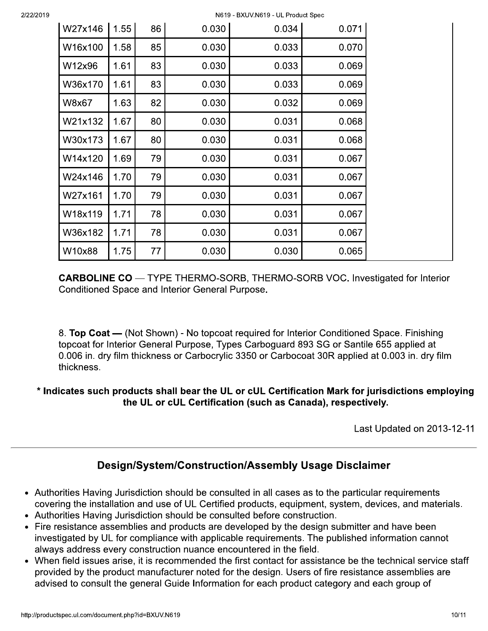|         |      |    |       | N619 - BXUV.N619 - UL Product Spec |       |
|---------|------|----|-------|------------------------------------|-------|
| W27x146 | 1.55 | 86 | 0.030 | 0.034                              | 0.071 |
| W16x100 | 1.58 | 85 | 0.030 | 0.033                              | 0.070 |
| W12x96  | 1.61 | 83 | 0.030 | 0.033                              | 0.069 |
| W36x170 | 1.61 | 83 | 0.030 | 0.033                              | 0.069 |
| W8x67   | 1.63 | 82 | 0.030 | 0.032                              | 0.069 |
| W21x132 | 1.67 | 80 | 0.030 | 0.031                              | 0.068 |
| W30x173 | 1.67 | 80 | 0.030 | 0.031                              | 0.068 |
| W14x120 | 1.69 | 79 | 0.030 | 0.031                              | 0.067 |
| W24x146 | 1.70 | 79 | 0.030 | 0.031                              | 0.067 |
| W27x161 | 1.70 | 79 | 0.030 | 0.031                              | 0.067 |
| W18x119 | 1.71 | 78 | 0.030 | 0.031                              | 0.067 |
| W36x182 | 1.71 | 78 | 0.030 | 0.031                              | 0.067 |
| W10x88  | 1.75 | 77 | 0.030 | 0.030                              | 0.065 |

**CARBOLINE CO** — TYPE THERMO-SORB, THERMO-SORB VOC. Investigated for Interior Conditioned Space and Interior General Purpose.

8. Top Coat — (Not Shown) - No topcoat required for Interior Conditioned Space. Finishing topcoat for Interior General Purpose, Types Carboguard 893 SG or Santile 655 applied at 0.006 in. dry film thickness or Carbocrylic 3350 or Carbocoat 30R applied at 0.003 in. dry film thickness.

## \* Indicates such products shall bear the UL or cUL Certification Mark for jurisdictions employing the UL or cUL Certification (such as Canada), respectively.

Last Updated on 2013-12-11

# Design/System/Construction/Assembly Usage Disclaimer

- Authorities Having Jurisdiction should be consulted in all cases as to the particular requirements covering the installation and use of UL Certified products, equipment, system, devices, and materials.
- Authorities Having Jurisdiction should be consulted before construction.
- Fire resistance assemblies and products are developed by the design submitter and have been investigated by UL for compliance with applicable requirements. The published information cannot always address every construction nuance encountered in the field.
- When field issues arise, it is recommended the first contact for assistance be the technical service staff provided by the product manufacturer noted for the design. Users of fire resistance assemblies are advised to consult the general Guide Information for each product category and each group of

2/22/2019